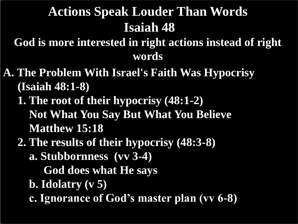## **Actions Speak Louder Than Words Isaiah 48**

**God is more interested in right actions instead of right words**

- **A. The Problem With Israel's Faith Was Hypocrisy (Isaiah 48:1-8)**
	- **1. The root of their hypocrisy (48:1-2) Not What You Say But What You Believe Matthew 15:18**
	- **2. The results of their hypocrisy (48:3-8)**
		- **a. Stubbornness (vv 3-4)**
			- **God does what He says**
		- **b. Idolatry (v 5)**
		- **c. Ignorance of God's master plan (vv 6-8)**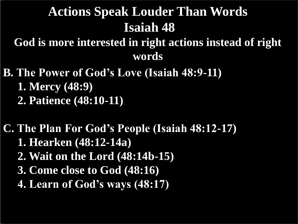# **Actions Speak Louder Than Words Isaiah 48**

**God is more interested in right actions instead of right words**

**B. The Power of God's Love (Isaiah 48:9-11) 1. Mercy (48:9) 2. Patience (48:10-11)**

**C. The Plan For God's People (Isaiah 48:12-17) 1. Hearken (48:12-14a) 2. Wait on the Lord (48:14b-15) 3. Come close to God (48:16) 4. Learn of God's ways (48:17)**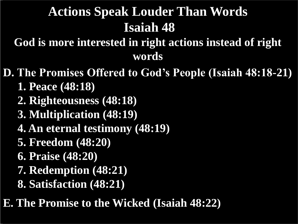# **Actions Speak Louder Than Words Isaiah 48**

**God is more interested in right actions instead of right words**

**D. The Promises Offered to God's People (Isaiah 48:18-21)**

- **1. Peace (48:18)**
- **2. Righteousness (48:18)**
- **3. Multiplication (48:19)**
- **4. An eternal testimony (48:19)**
- **5. Freedom (48:20)**
- **6. Praise (48:20)**
- **7. Redemption (48:21)**
- **8. Satisfaction (48:21)**

**E. The Promise to the Wicked (Isaiah 48:22)**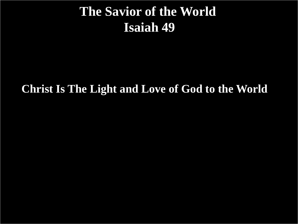#### **The Savior of the World Isaiah 49**

#### **Christ Is The Light and Love of God to the World**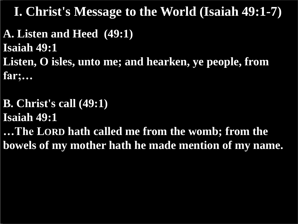**A. Listen and Heed (49:1) Isaiah 49:1 Listen, O isles, unto me; and hearken, ye people, from far;…** 

**B. Christ's call (49:1) Isaiah 49:1 …The LORD hath called me from the womb; from the bowels of my mother hath he made mention of my name.**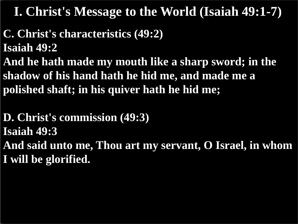- **C. Christ's characteristics (49:2) Isaiah 49:2**
- **And he hath made my mouth like a sharp sword; in the shadow of his hand hath he hid me, and made me a polished shaft; in his quiver hath he hid me;**

**D. Christ's commission (49:3) Isaiah 49:3 And said unto me, Thou art my servant, O Israel, in whom I will be glorified.**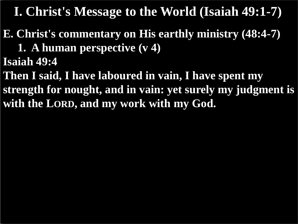**E. Christ's commentary on His earthly ministry (48:4-7) 1. A human perspective (v 4)**

**Isaiah 49:4**

**Then I said, I have laboured in vain, I have spent my strength for nought, and in vain: yet surely my judgment is with the LORD, and my work with my God.**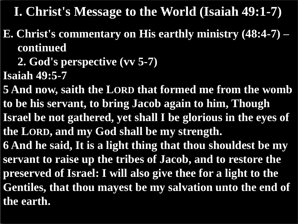- **E. Christ's commentary on His earthly ministry (48:4-7) – continued**
	- **2. God's perspective (vv 5-7)**
- **Isaiah 49:5-7**
- **5 And now, saith the LORD that formed me from the womb to be his servant, to bring Jacob again to him, Though Israel be not gathered, yet shall I be glorious in the eyes of the LORD, and my God shall be my strength. 6 And he said, It is a light thing that thou shouldest be my servant to raise up the tribes of Jacob, and to restore the preserved of Israel: I will also give thee for a light to the Gentiles, that thou mayest be my salvation unto the end of the earth.**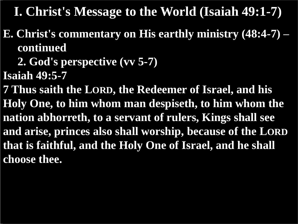- **E. Christ's commentary on His earthly ministry (48:4-7) – continued**
	- **2. God's perspective (vv 5-7)**
- **Isaiah 49:5-7**
- **7 Thus saith the LORD, the Redeemer of Israel, and his Holy One, to him whom man despiseth, to him whom the nation abhorreth, to a servant of rulers, Kings shall see and arise, princes also shall worship, because of the LORD that is faithful, and the Holy One of Israel, and he shall choose thee.**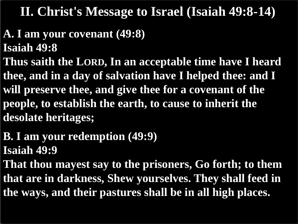### **II. Christ's Message to Israel (Isaiah 49:8-14)**

#### **A. I am your covenant (49:8) Isaiah 49:8**

**Thus saith the LORD, In an acceptable time have I heard thee, and in a day of salvation have I helped thee: and I will preserve thee, and give thee for a covenant of the people, to establish the earth, to cause to inherit the desolate heritages;**

### **B. I am your redemption (49:9) Isaiah 49:9**

**That thou mayest say to the prisoners, Go forth; to them that are in darkness, Shew yourselves. They shall feed in the ways, and their pastures shall be in all high places.**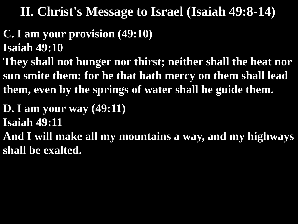### **II. Christ's Message to Israel (Isaiah 49:8-14)**

- **C. I am your provision (49:10) Isaiah 49:10**
- **They shall not hunger nor thirst; neither shall the heat nor sun smite them: for he that hath mercy on them shall lead them, even by the springs of water shall he guide them.**
- **D. I am your way (49:11) Isaiah 49:11 And I will make all my mountains a way, and my highways shall be exalted.**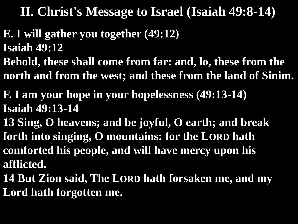**II. Christ's Message to Israel (Isaiah 49:8-14)**

- **E. I will gather you together (49:12) Isaiah 49:12**
- **Behold, these shall come from far: and, lo, these from the north and from the west; and these from the land of Sinim.**
- **F. I am your hope in your hopelessness (49:13-14) Isaiah 49:13-14**
- **13 Sing, O heavens; and be joyful, O earth; and break forth into singing, O mountains: for the LORD hath comforted his people, and will have mercy upon his afflicted.**
- **14 But Zion said, The LORD hath forsaken me, and my Lord hath forgotten me.**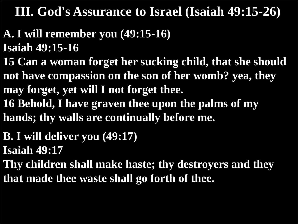- **A. I will remember you (49:15-16) Isaiah 49:15-16**
- **15 Can a woman forget her sucking child, that she should not have compassion on the son of her womb? yea, they may forget, yet will I not forget thee. 16 Behold, I have graven thee upon the palms of my**
- **hands; thy walls are continually before me.**
- **B. I will deliver you (49:17)**
- **Isaiah 49:17**
- **Thy children shall make haste; thy destroyers and they that made thee waste shall go forth of thee.**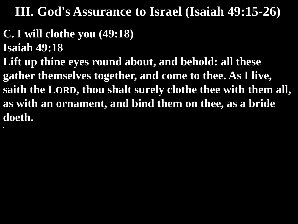# **C. I will clothe you (49:18)**

**Isaiah 49:18**

**Lift up thine eyes round about, and behold: all these gather themselves together, and come to thee. As I live, saith the LORD, thou shalt surely clothe thee with them all, as with an ornament, and bind them on thee, as a bride doeth. .**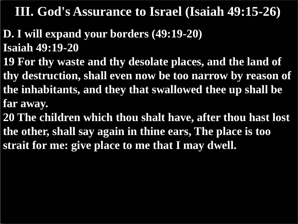- **D. I will expand your borders (49:19-20) Isaiah 49:19-20**
- **19 For thy waste and thy desolate places, and the land of thy destruction, shall even now be too narrow by reason of the inhabitants, and they that swallowed thee up shall be far away.**
- **20 The children which thou shalt have, after thou hast lost the other, shall say again in thine ears, The place is too strait for me: give place to me that I may dwell.**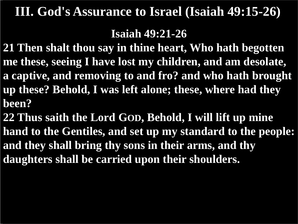#### **Isaiah 49:21-26**

**21 Then shalt thou say in thine heart, Who hath begotten me these, seeing I have lost my children, and am desolate, a captive, and removing to and fro? and who hath brought up these? Behold, I was left alone; these, where had they been?**

**22 Thus saith the Lord GOD, Behold, I will lift up mine hand to the Gentiles, and set up my standard to the people: and they shall bring thy sons in their arms, and thy daughters shall be carried upon their shoulders.**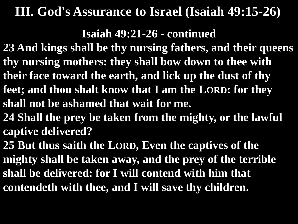#### **Isaiah 49:21-26 - continued**

**23 And kings shall be thy nursing fathers, and their queens thy nursing mothers: they shall bow down to thee with** 

**their face toward the earth, and lick up the dust of thy** 

- **feet; and thou shalt know that I am the LORD: for they shall not be ashamed that wait for me.**
- **24 Shall the prey be taken from the mighty, or the lawful captive delivered?**

**25 But thus saith the LORD, Even the captives of the mighty shall be taken away, and the prey of the terrible shall be delivered: for I will contend with him that contendeth with thee, and I will save thy children.**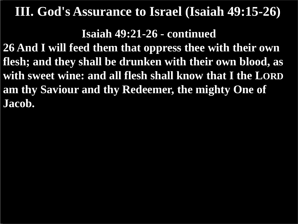**Isaiah 49:21-26 - continued**

**26 And I will feed them that oppress thee with their own flesh; and they shall be drunken with their own blood, as with sweet wine: and all flesh shall know that I the LORD am thy Saviour and thy Redeemer, the mighty One of Jacob.**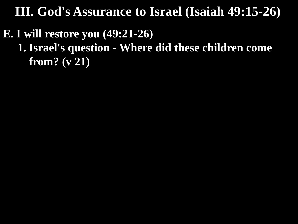#### **E. I will restore you (49:21-26) 1. Israel's question - Where did these children come from? (v 21)**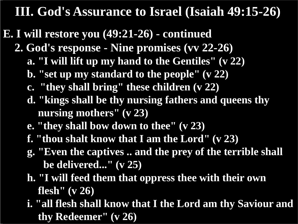- **E. I will restore you (49:21-26) - continued**
	- **2. God's response - Nine promises (vv 22-26)**
		- **a. "I will lift up my hand to the Gentiles" (v 22)**
		- **b. "set up my standard to the people" (v 22)**
		- **c. "they shall bring" these children (v 22)**
		- **d. "kings shall be thy nursing fathers and queens thy nursing mothers" (v 23)**
		- **e. "they shall bow down to thee" (v 23)**
		- **f. "thou shalt know that I am the Lord" (v 23)**
		- **g. "Even the captives .. and the prey of the terrible shall be delivered..." (v 25)**
		- **h. "I will feed them that oppress thee with their own flesh" (v 26)**
		- **i. "all flesh shall know that I the Lord am thy Saviour and thy Redeemer" (v 26)**